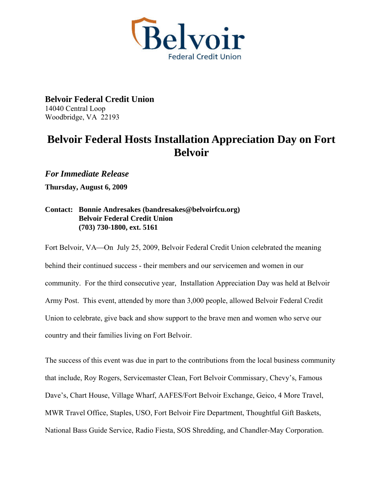

**Belvoir Federal Credit Union**  14040 Central Loop Woodbridge, VA 22193

## **Belvoir Federal Hosts Installation Appreciation Day on Fort Belvoir**

*For Immediate Release* 

**Thursday, August 6, 2009** 

## **Contact: Bonnie Andresakes (bandresakes@belvoirfcu.org) Belvoir Federal Credit Union (703) 730-1800, ext. 5161**

Fort Belvoir, VA—On July 25, 2009, Belvoir Federal Credit Union celebrated the meaning behind their continued success - their members and our servicemen and women in our community. For the third consecutive year, Installation Appreciation Day was held at Belvoir Army Post. This event, attended by more than 3,000 people, allowed Belvoir Federal Credit Union to celebrate, give back and show support to the brave men and women who serve our country and their families living on Fort Belvoir.

The success of this event was due in part to the contributions from the local business community that include, Roy Rogers, Servicemaster Clean, Fort Belvoir Commissary, Chevy's, Famous Dave's, Chart House, Village Wharf, AAFES/Fort Belvoir Exchange, Geico, 4 More Travel, MWR Travel Office, Staples, USO, Fort Belvoir Fire Department, Thoughtful Gift Baskets, National Bass Guide Service, Radio Fiesta, SOS Shredding, and Chandler-May Corporation.